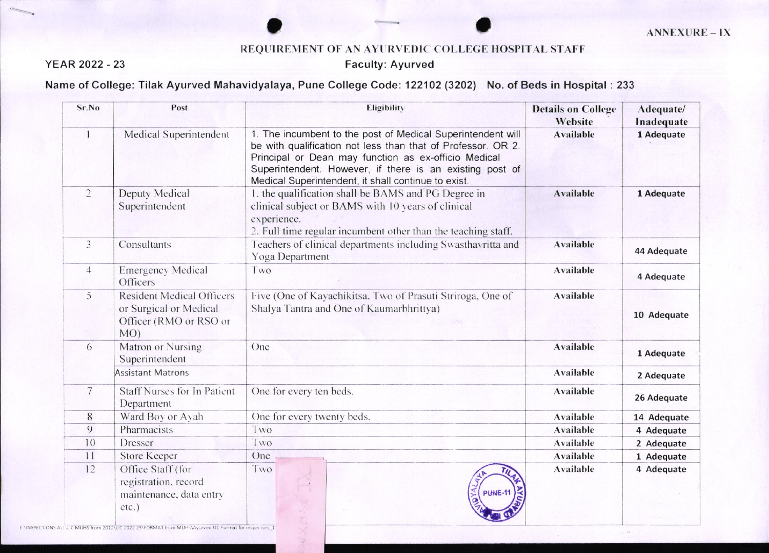## REQUIREMENT OF AN AYURVEDIC COLLEGE HOSPITAL STAFF

## **Faculty: Ayurved**

## **YEAR 2022 - 23**

## Name of College: Tilak Ayurved Mahavidyalaya, Pune College Code: 122102 (3202) No. of Beds in Hospital : 233

| Sr.No          | Post                                                                                                                                                                                   | Eligibility                                                                                                                                                                                                                                                                                            | <b>Details on College</b><br>Website | Adequate/<br>Inadequate |
|----------------|----------------------------------------------------------------------------------------------------------------------------------------------------------------------------------------|--------------------------------------------------------------------------------------------------------------------------------------------------------------------------------------------------------------------------------------------------------------------------------------------------------|--------------------------------------|-------------------------|
| 1              | Medical Superintendent                                                                                                                                                                 | 1. The incumbent to the post of Medical Superintendent will<br>be with qualification not less than that of Professor. OR 2.<br>Principal or Dean may function as ex-officio Medical<br>Superintendent. However, if there is an existing post of<br>Medical Superintendent, it shall continue to exist. | <b>Available</b>                     | 1 Adequate              |
| $\overline{2}$ | Deputy Medical<br>Superintendent                                                                                                                                                       | 1. the qualification shall be BAMS and PG Degree in<br>clinical subject or BAMS with 10 years of clinical<br>experience.<br>2. Full time regular incumbent other than the teaching staff.                                                                                                              | <b>Available</b>                     | 1 Adequate              |
| 3              | Consultants                                                                                                                                                                            | Teachers of clinical departments including Swasthavritta and<br>Yoga Department                                                                                                                                                                                                                        | <b>Available</b>                     | 44 Adequate             |
| $\overline{4}$ | <b>Emergency Medical</b><br>Officers                                                                                                                                                   | Two                                                                                                                                                                                                                                                                                                    | <b>Available</b>                     | 4 Adequate              |
| 5              | <b>Resident Medical Officers</b><br>or Surgical or Medical<br>Officer (RMO or RSO or<br>$MO$ )                                                                                         | Five (One of Kayachikitsa, Two of Prasuti Striroga, One of<br>Shalya Tantra and One of Kaumarbhrittya)                                                                                                                                                                                                 | <b>Available</b>                     | 10 Adequate             |
| 6              | Matron or Nursing<br>Superintendent                                                                                                                                                    | One                                                                                                                                                                                                                                                                                                    | <b>Available</b>                     | 1 Adequate              |
|                | <b>Assistant Matrons</b>                                                                                                                                                               |                                                                                                                                                                                                                                                                                                        | Available                            | 2 Adequate              |
| 7              | <b>Staff Nurses for In Patient</b><br>Department                                                                                                                                       | One for every ten beds.                                                                                                                                                                                                                                                                                | Available                            | 26 Adequate             |
| 8              | Ward Boy or Avah                                                                                                                                                                       | One for every twenty beds.                                                                                                                                                                                                                                                                             | Available                            | 14 Adequate             |
| 9              | Pharmacists                                                                                                                                                                            | Two                                                                                                                                                                                                                                                                                                    | Available                            | 4 Adequate              |
| 10             | Dresser                                                                                                                                                                                | Two                                                                                                                                                                                                                                                                                                    | <b>Available</b>                     | 2 Adequate              |
| 11             | <b>Store Keeper</b>                                                                                                                                                                    | One                                                                                                                                                                                                                                                                                                    | Available                            | 1 Adequate              |
| 12             | Office Staff (for<br>registration, record<br>maintenance, data entry<br>etc.)<br>ENINSPECTIONS ALL LIC MUHS from 2012 LIC 2022 23 FORMAT from MUHS\Ayurved LIC Format for inspectors 1 | Two<br>PUNE-11                                                                                                                                                                                                                                                                                         | <b>Available</b>                     | 4 Adequate              |